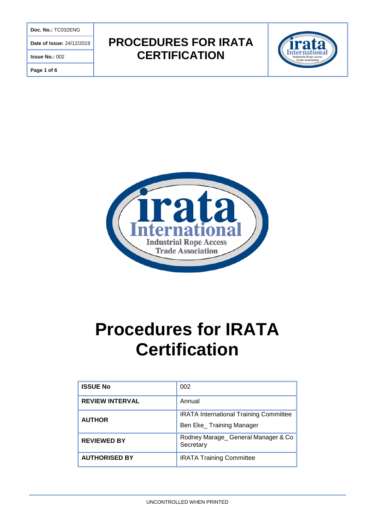**Doc. No.:** TC032ENG

**Date of Issue:** 24/12/2019

**Issue No.:** 002

**Page 1 of 6**

# **PROCEDURES FOR IRATA CERTIFICATION**





# **Procedures for IRATA Certification**

| <b>ISSUE No</b>        | 002                                                                        |
|------------------------|----------------------------------------------------------------------------|
| <b>REVIEW INTERVAL</b> | Annual                                                                     |
| <b>AUTHOR</b>          | <b>IRATA International Training Committee</b><br>Ben Eke_ Training Manager |
| <b>REVIEWED BY</b>     | Rodney Marage_General Manager & Co<br>Secretary                            |
| <b>AUTHORISED BY</b>   | <b>IRATA Training Committee</b>                                            |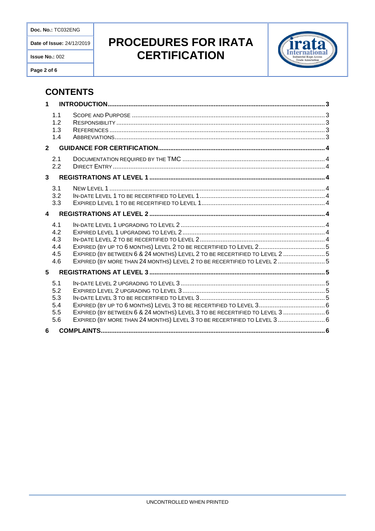Doc. No.: TC032ENG

Date of Issue: 24/12/2019

Issue No.: 002

Page 2 of 6

# PROCEDURES FOR IRATA **CERTIFICATION**



### **CONTENTS**

| $\mathbf 1$      |                                        |                                                                                                                                                                                                                           |
|------------------|----------------------------------------|---------------------------------------------------------------------------------------------------------------------------------------------------------------------------------------------------------------------------|
|                  | 1.1<br>1.2<br>1.3<br>1.4               |                                                                                                                                                                                                                           |
| $\overline{2}$   |                                        |                                                                                                                                                                                                                           |
|                  | 2.1<br>2.2                             |                                                                                                                                                                                                                           |
| 3                |                                        |                                                                                                                                                                                                                           |
|                  | 3.1<br>3.2<br>3.3                      |                                                                                                                                                                                                                           |
| $\blacktriangle$ |                                        |                                                                                                                                                                                                                           |
|                  | 4.1<br>4.2<br>4.3<br>4.4<br>4.5<br>4.6 | EXPIRED (BY UP TO 6 MONTHS) LEVEL 2 TO BE RECERTIFIED TO LEVEL 25<br>EXPIRED (BY BETWEEN 6 & 24 MONTHS) LEVEL 2 TO BE RECERTIFIED TO LEVEL 2 5<br>EXPIRED (BY MORE THAN 24 MONTHS) LEVEL 2 TO BE RECERTIFIED TO LEVEL 2 5 |
| 5                |                                        |                                                                                                                                                                                                                           |
|                  | 5.1<br>5.2<br>5.3<br>5.4<br>5.5<br>5.6 | EXPIRED (BY BETWEEN 6 & 24 MONTHS) LEVEL 3 TO BE RECERTIFIED TO LEVEL 3  6<br>EXPIRED (BY MORE THAN 24 MONTHS) LEVEL 3 TO BE RECERTIFIED TO LEVEL 3  6                                                                    |
| 6                |                                        |                                                                                                                                                                                                                           |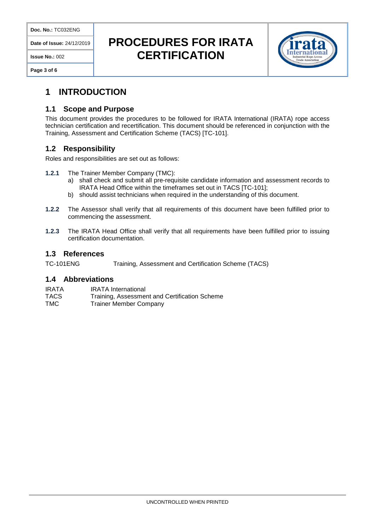**Date of Issue:** 24/12/2019

**Issue No.:** 002

**Page 3 of 6**

# **PROCEDURES FOR IRATA CERTIFICATION**



### **1 INTRODUCTION**

#### **1.1 Scope and Purpose**

This document provides the procedures to be followed for IRATA International (IRATA) rope access technician certification and recertification. This document should be referenced in conjunction with the Training, Assessment and Certification Scheme (TACS) [TC-101].

#### **1.2 Responsibility**

Roles and responsibilities are set out as follows:

- **1.2.1** The Trainer Member Company (TMC):
	- a) shall check and submit all pre-requisite candidate information and assessment records to IRATA Head Office within the timeframes set out in TACS [TC-101];
	- b) should assist technicians when required in the understanding of this document.
- **1.2.2** The Assessor shall verify that all requirements of this document have been fulfilled prior to commencing the assessment.
- **1.2.3** The IRATA Head Office shall verify that all requirements have been fulfilled prior to issuing certification documentation.

#### **1.3 References**

TC-101ENG Training, Assessment and Certification Scheme (TACS)

#### **1.4 Abbreviations**

| IRATA | <b>IRATA</b> International                    |
|-------|-----------------------------------------------|
| TACS  | Training, Assessment and Certification Scheme |
| ____  |                                               |

TMC Trainer Member Company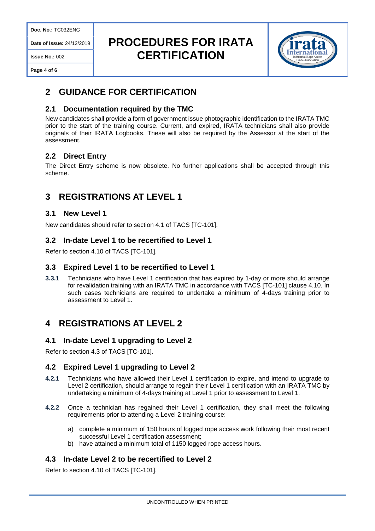**Doc. No.:** TC032ENG

**Date of Issue:** 24/12/2019

#### **Issue No.:** 002

**Page 4 of 6**

# **PROCEDURES FOR IRATA CERTIFICATION**



### **2 GUIDANCE FOR CERTIFICATION**

#### **2.1 Documentation required by the TMC**

New candidates shall provide a form of government issue photographic identification to the IRATA TMC prior to the start of the training course. Current, and expired, IRATA technicians shall also provide originals of their IRATA Logbooks. These will also be required by the Assessor at the start of the assessment.

#### **2.2 Direct Entry**

The Direct Entry scheme is now obsolete. No further applications shall be accepted through this scheme.

### **3 REGISTRATIONS AT LEVEL 1**

#### **3.1 New Level 1**

New candidates should refer to section 4.1 of TACS [TC-101].

#### **3.2 In-date Level 1 to be recertified to Level 1**

Refer to section 4.10 of TACS [TC-101].

#### **3.3 Expired Level 1 to be recertified to Level 1**

**3.3.1** Technicians who have Level 1 certification that has expired by 1-day or more should arrange for revalidation training with an IRATA TMC in accordance with TACS [TC-101] clause 4.10. In such cases technicians are required to undertake a minimum of 4-days training prior to assessment to Level 1.

### **4 REGISTRATIONS AT LEVEL 2**

#### **4.1 In-date Level 1 upgrading to Level 2**

Refer to section 4.3 of TACS [TC-101].

#### **4.2 Expired Level 1 upgrading to Level 2**

- **4.2.1** Technicians who have allowed their Level 1 certification to expire, and intend to upgrade to Level 2 certification, should arrange to regain their Level 1 certification with an IRATA TMC by undertaking a minimum of 4-days training at Level 1 prior to assessment to Level 1.
- **4.2.2** Once a technician has regained their Level 1 certification, they shall meet the following requirements prior to attending a Level 2 training course:
	- a) complete a minimum of 150 hours of logged rope access work following their most recent successful Level 1 certification assessment;
	- b) have attained a minimum total of 1150 logged rope access hours.

#### **4.3 In-date Level 2 to be recertified to Level 2**

Refer to section 4.10 of TACS [TC-101].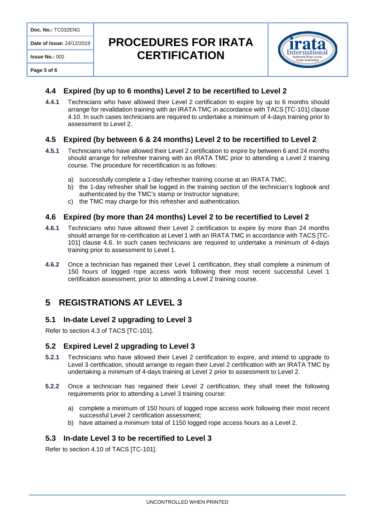**Date of Issue:** 24/12/2019

# **PROCEDURES FOR IRATA CERTIFICATION**



#### **Page 5 of 6**

**Issue No.:** 002

#### **4.4 Expired (by up to 6 months) Level 2 to be recertified to Level 2**

**4.4.1** Technicians who have allowed their Level 2 certification to expire by up to 6 months should arrange for revalidation training with an IRATA TMC in accordance with TACS [TC-101] clause 4.10. In such cases technicians are required to undertake a minimum of 4-days training prior to assessment to Level 2.

#### **4.5 Expired (by between 6 & 24 months) Level 2 to be recertified to Level 2**

- **4.5.1** Technicians who have allowed their Level 2 certification to expire by between 6 and 24 months should arrange for refresher training with an IRATA TMC prior to attending a Level 2 training course. The procedure for recertification is as follows:
	- a) successfully complete a 1-day refresher training course at an IRATA TMC;
	- b) the 1-day refresher shall be logged in the training section of the technician's logbook and authenticated by the TMC's stamp or Instructor signature;
	- c) the TMC may charge for this refresher and authentication.

#### **4.6 Expired (by more than 24 months) Level 2 to be recertified to Level 2**

- **4.6.1** Technicians who have allowed their Level 2 certification to expire by more than 24 months should arrange for re-certification at Level 1 with an IRATA TMC in accordance with TACS [TC-101] clause 4.6. In such cases technicians are required to undertake a minimum of 4-days training prior to assessment to Level 1.
- **4.6.2** Once a technician has regained their Level 1 certification, they shall complete a minimum of 150 hours of logged rope access work following their most recent successful Level 1 certification assessment, prior to attending a Level 2 training course.

### **5 REGISTRATIONS AT LEVEL 3**

#### **5.1 In-date Level 2 upgrading to Level 3**

Refer to section 4.3 of TACS [TC-101].

#### **5.2 Expired Level 2 upgrading to Level 3**

- **5.2.1** Technicians who have allowed their Level 2 certification to expire, and intend to upgrade to Level 3 certification, should arrange to regain their Level 2 certification with an IRATA TMC by undertaking a minimum of 4-days training at Level 2 prior to assessment to Level 2.
- **5.2.2** Once a technician has regained their Level 2 certification, they shall meet the following requirements prior to attending a Level 3 training course:
	- a) complete a minimum of 150 hours of logged rope access work following their most recent successful Level 2 certification assessment;
	- b) have attained a minimum total of 1150 logged rope access hours as a Level 2.

#### **5.3 In-date Level 3 to be recertified to Level 3**

Refer to section 4.10 of TACS [TC-101].